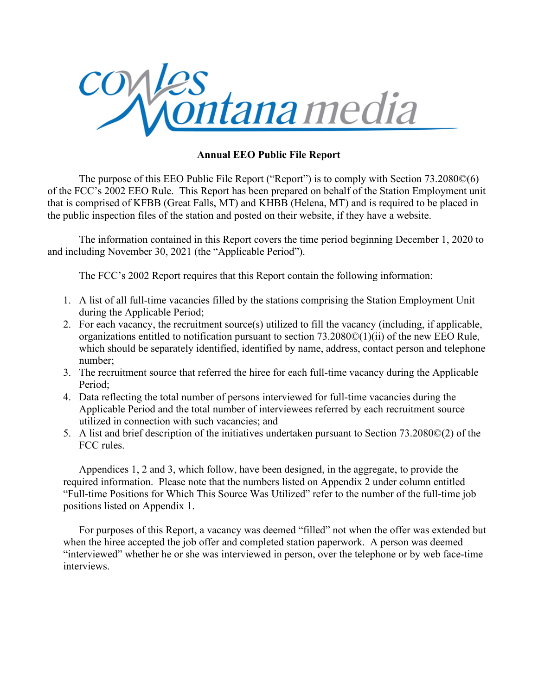

The purpose of this EEO Public File Report ("Report") is to comply with Section 73.2080©(6) of the FCC's 2002 EEO Rule. This Report has been prepared on behalf of the Station Employment unit that is comprised of KFBB (Great Falls, MT) and KHBB (Helena, MT) and is required to be placed in the public inspection files of the station and posted on their website, if they have a website.

The information contained in this Report covers the time period beginning December 1, 2020 to and including November 30, 2021 (the "Applicable Period").

The FCC's 2002 Report requires that this Report contain the following information:

- 1. A list of all full-time vacancies filled by the stations comprising the Station Employment Unit during the Applicable Period;
- 2. For each vacancy, the recruitment source(s) utilized to fill the vacancy (including, if applicable, organizations entitled to notification pursuant to section 73.2080©(1)(ii) of the new EEO Rule, which should be separately identified, identified by name, address, contact person and telephone number;
- 3. The recruitment source that referred the hiree for each full-time vacancy during the Applicable Period;
- 4. Data reflecting the total number of persons interviewed for full-time vacancies during the Applicable Period and the total number of interviewees referred by each recruitment source utilized in connection with such vacancies; and
- 5. A list and brief description of the initiatives undertaken pursuant to Section 73.2080©(2) of the FCC rules.

Appendices 1, 2 and 3, which follow, have been designed, in the aggregate, to provide the required information. Please note that the numbers listed on Appendix 2 under column entitled "Full-time Positions for Which This Source Was Utilized" refer to the number of the full-time job positions listed on Appendix 1.

For purposes of this Report, a vacancy was deemed "filled" not when the offer was extended but when the hiree accepted the job offer and completed station paperwork. A person was deemed "interviewed" whether he or she was interviewed in person, over the telephone or by web face-time interviews.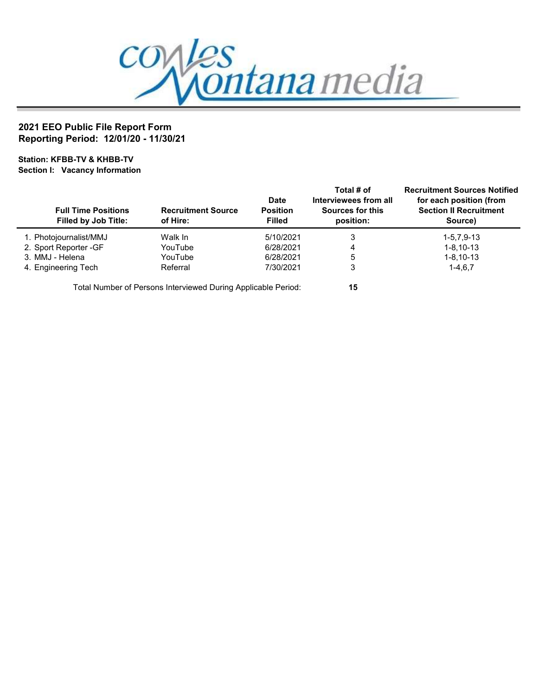

Station: KFBB-TV & KHBB-TV Section I: Vacancy Information

| <b>Full Time Positions</b><br><b>Filled by Job Title:</b> | <b>Recruitment Source</b><br>of Hire:                         | Date<br><b>Position</b><br><b>Filled</b> | Total # of<br>Interviewees from all<br>Sources for this<br>position: | <b>Recruitment Sources Notified</b><br>for each position (from<br><b>Section II Recruitment</b><br>Source) |
|-----------------------------------------------------------|---------------------------------------------------------------|------------------------------------------|----------------------------------------------------------------------|------------------------------------------------------------------------------------------------------------|
| 1. Photojournalist/MMJ                                    | Walk In                                                       | 5/10/2021                                | 3                                                                    | $1 - 5, 7, 9 - 13$                                                                                         |
| 2. Sport Reporter -GF                                     | YouTube                                                       | 6/28/2021                                | 4                                                                    | $1 - 8.10 - 13$                                                                                            |
| 3. MMJ - Helena                                           | YouTube                                                       | 6/28/2021                                | 5                                                                    | $1 - 8.10 - 13$                                                                                            |
| 4. Engineering Tech                                       | Referral                                                      | 7/30/2021                                | 3                                                                    | $1-4, 6, 7$                                                                                                |
|                                                           | Total Number of Persons Interviewed During Applicable Period: |                                          | 15                                                                   |                                                                                                            |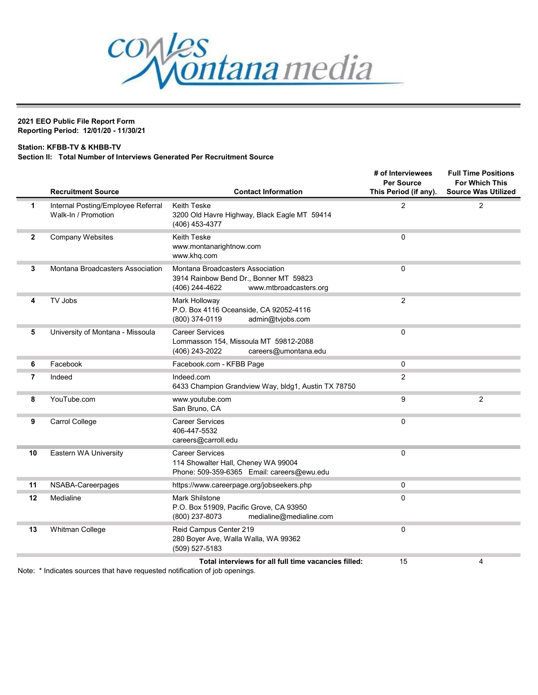

# Station: KFBB-TV & KHBB-TV

# Section II: Total Number of Interviews Generated Per Recruitment Source

|              | <b>Recruitment Source</b>                                 | <b>Contact Information</b>                                                                                             | # of Interviewees<br><b>Per Source</b><br>This Period (if any). | <b>Full Time Positions</b><br><b>For Which This</b><br><b>Source Was Utilized</b> |
|--------------|-----------------------------------------------------------|------------------------------------------------------------------------------------------------------------------------|-----------------------------------------------------------------|-----------------------------------------------------------------------------------|
| 1            | Internal Posting/Employee Referral<br>Walk-In / Promotion | <b>Keith Teske</b><br>3200 Old Havre Highway, Black Eagle MT 59414<br>(406) 453-4377                                   | 2                                                               | $\overline{2}$                                                                    |
| $\mathbf{2}$ | <b>Company Websites</b>                                   | Keith Teske<br>www.montanarightnow.com<br>www.khq.com                                                                  | 0                                                               |                                                                                   |
| 3            | Montana Broadcasters Association                          | Montana Broadcasters Association<br>3914 Rainbow Bend Dr., Bonner MT 59823<br>(406) 244-4622<br>www.mtbroadcasters.org | $\Omega$                                                        |                                                                                   |
| 4            | TV Jobs                                                   | Mark Holloway<br>P.O. Box 4116 Oceanside, CA 92052-4116<br>(800) 374-0119<br>admin@tviobs.com                          | $\overline{2}$                                                  |                                                                                   |
| 5            | University of Montana - Missoula                          | <b>Career Services</b><br>Lommasson 154. Missoula MT 59812-2088<br>(406) 243-2022<br>careers@umontana.edu              | $\Omega$                                                        |                                                                                   |
| 6            | Facebook                                                  | Facebook.com - KFBB Page                                                                                               | 0                                                               |                                                                                   |
| 7            | Indeed                                                    | Indeed.com<br>6433 Champion Grandview Way, bldg1, Austin TX 78750                                                      | 2                                                               |                                                                                   |
| 8            | YouTube.com                                               | www.youtube.com<br>San Bruno, CA                                                                                       | 9                                                               | 2                                                                                 |
| 9            | Carrol College                                            | <b>Career Services</b><br>406-447-5532<br>careers@carroll.edu                                                          | 0                                                               |                                                                                   |
| 10           | Eastern WA University                                     | <b>Career Services</b><br>114 Showalter Hall, Cheney WA 99004<br>Phone: 509-359-6365 Email: careers@ewu.edu            | $\Omega$                                                        |                                                                                   |
| 11           | NSABA-Careerpages                                         | https://www.careerpage.org/jobseekers.php                                                                              | 0                                                               |                                                                                   |
| 12           | Medialine                                                 | Mark Shilstone<br>P.O. Box 51909, Pacific Grove, CA 93950<br>medialine@medialine.com<br>(800) 237-8073                 | $\Omega$                                                        |                                                                                   |
| 13           | Whitman College                                           | Reid Campus Center 219<br>280 Boyer Ave, Walla Walla, WA 99362<br>(509) 527-5183                                       | 0                                                               |                                                                                   |
|              |                                                           | Total interviews for all full time vacancies filled:                                                                   | 15                                                              | 4                                                                                 |

Note: \* Indicates sources that have requested notification of job openings.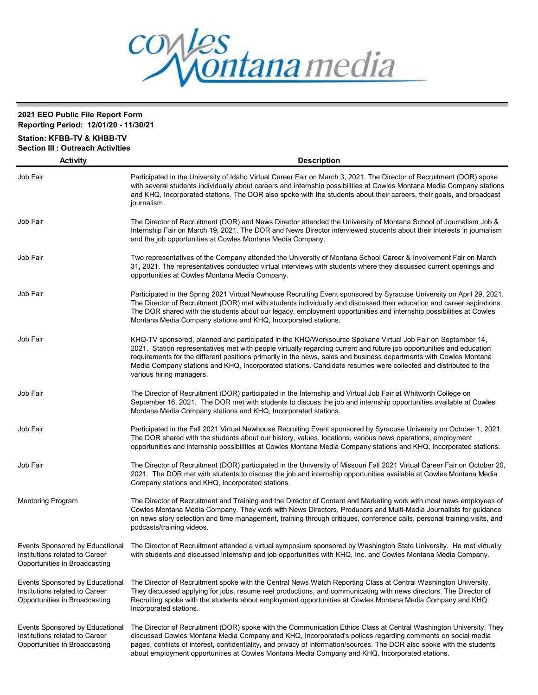

# Station: KFBB-TV & KHBB-TV Section III : Outreach Activities

| <b>Activity</b>                                                                                    | <b>Description</b>                                                                                                                                                                                                                                                                                                                                                                                                                                                                                     |
|----------------------------------------------------------------------------------------------------|--------------------------------------------------------------------------------------------------------------------------------------------------------------------------------------------------------------------------------------------------------------------------------------------------------------------------------------------------------------------------------------------------------------------------------------------------------------------------------------------------------|
| Job Fair                                                                                           | Participated in the University of Idaho Virtual Career Fair on March 3, 2021. The Director of Recruitment (DOR) spoke<br>with several students individually about careers and internship possibilities at Cowles Montana Media Company stations<br>and KHQ, Incorporated stations. The DOR also spoke with the students about their careers, their goals, and broadcast<br>journalism.                                                                                                                 |
| Job Fair                                                                                           | The Director of Recruitment (DOR) and News Director attended the University of Montana School of Journalism Job &<br>Internship Fair on March 19, 2021. The DOR and News Director interviewed students about their interests in journalism<br>and the job opportunities at Cowles Montana Media Company.                                                                                                                                                                                               |
| Job Fair                                                                                           | Two representatives of the Company attended the University of Montana School Career & Involvement Fair on March<br>31, 2021. The representatives conducted virtual interviews with students where they discussed current openings and<br>opportunities at Cowles Montana Media Company.                                                                                                                                                                                                                |
| Job Fair                                                                                           | Participated in the Spring 2021 Virtual Newhouse Recruiting Event sponsored by Syracuse University on April 29, 2021.<br>The Director of Recruitment (DOR) met with students individually and discussed their education and career aspirations.<br>The DOR shared with the students about our legacy, employment opportunities and internship possibilities at Cowles<br>Montana Media Company stations and KHQ, Incorporated stations.                                                                |
| Job Fair                                                                                           | KHQ-TV sponsored, planned and participated in the KHQ/Worksource Spokane Virtual Job Fair on September 14,<br>2021. Station representatives met with people virtually regarding current and future job opportunities and education<br>requirements for the different positions primarily in the news, sales and business departments with Cowles Montana<br>Media Company stations and KHQ, Incorporated stations. Candidate resumes were collected and distributed to the<br>various hiring managers. |
| Job Fair                                                                                           | The Director of Recruitment (DOR) participated in the Internship and Virtual Job Fair at Whitworth College on<br>September 16, 2021. The DOR met with students to discuss the job and internship opportunities available at Cowles<br>Montana Media Company stations and KHQ, Incorporated stations.                                                                                                                                                                                                   |
| Job Fair                                                                                           | Participated in the Fall 2021 Virtual Newhouse Recruiting Event sponsored by Syracuse University on October 1, 2021.<br>The DOR shared with the students about our history, values, locations, various news operations, employment<br>opportunities and internship possibilities at Cowles Montana Media Company stations and KHQ, Incorporated stations.                                                                                                                                              |
| Job Fair                                                                                           | The Director of Recruitment (DOR) participated in the University of Missouri Fall 2021 Virtual Career Fair on October 20,<br>2021. The DOR met with students to discuss the job and internship opportunities available at Cowles Montana Media<br>Company stations and KHQ, Incorporated stations.                                                                                                                                                                                                     |
| <b>Mentoring Program</b>                                                                           | The Director of Recruitment and Training and the Director of Content and Marketing work with most news employees of<br>Cowles Montana Media Company. They work with News Directors, Producers and Multi-Media Journalists for guidance<br>on news story selection and time management, training through critiques, conference calls, personal training visits, and<br>podcasts/training videos.                                                                                                        |
| Institutions related to Career<br>Opportunities in Broadcasting                                    | Events Sponsored by Educational The Director of Recruitment attended a virtual symposium sponsored by Washington State University. He met virtually<br>with students and discussed internship and job opportunities with KHQ, Inc. and Cowles Montana Media Company.                                                                                                                                                                                                                                   |
| Events Sponsored by Educational<br>Institutions related to Career<br>Opportunities in Broadcasting | The Director of Recruitment spoke with the Central News Watch Reporting Class at Central Washington University.<br>They discussed applying for jobs, resume reel productions, and communicating with news directors. The Director of<br>Recruiting spoke with the students about employment opportunities at Cowles Montana Media Company and KHQ,<br>Incorporated stations.                                                                                                                           |
| Events Sponsored by Educational<br>Institutions related to Career<br>Opportunities in Broadcasting | The Director of Recruitment (DOR) spoke with the Communication Ethics Class at Central Washington University. They<br>discussed Cowles Montana Media Company and KHQ, Incorporated's polices regarding comments on social media<br>pages, conflicts of interest, confidentiality, and privacy of information/sources. The DOR also spoke with the students<br>about employment opportunities at Cowles Montana Media Company and KHQ, Incorporated stations.                                           |